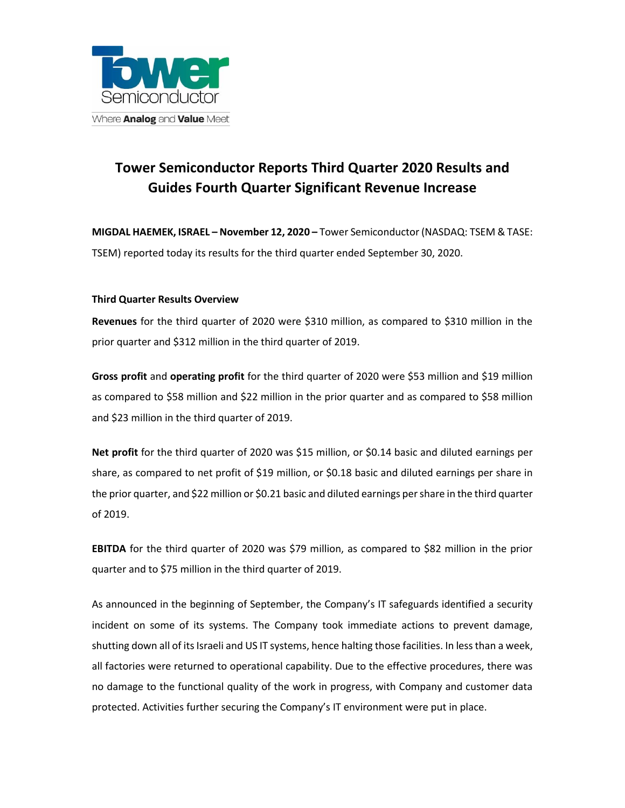

# **Tower Semiconductor Reports Third Quarter 2020 Results and Guides Fourth Quarter Significant Revenue Increase**

**MIGDAL HAEMEK, ISRAEL – November 12, 2020 –** Tower Semiconductor (NASDAQ: TSEM & TASE: TSEM) reported today its results for the third quarter ended September 30, 2020.

## **Third Quarter Results Overview**

**Revenues** for the third quarter of 2020 were \$310 million, as compared to \$310 million in the prior quarter and \$312 million in the third quarter of 2019.

**Gross profit** and **operating profit** for the third quarter of 2020 were \$53 million and \$19 million as compared to \$58 million and \$22 million in the prior quarter and as compared to \$58 million and \$23 million in the third quarter of 2019.

**Net profit** for the third quarter of 2020 was \$15 million, or \$0.14 basic and diluted earnings per share, as compared to net profit of \$19 million, or \$0.18 basic and diluted earnings per share in the prior quarter, and \$22 million or \$0.21 basic and diluted earnings per share in the third quarter of 2019.

**EBITDA** for the third quarter of 2020 was \$79 million, as compared to \$82 million in the prior quarter and to \$75 million in the third quarter of 2019.

As announced in the beginning of September, the Company's IT safeguards identified a security incident on some of its systems. The Company took immediate actions to prevent damage, shutting down all of its Israeli and US IT systems, hence halting those facilities. In less than a week, all factories were returned to operational capability. Due to the effective procedures, there was no damage to the functional quality of the work in progress, with Company and customer data protected. Activities further securing the Company's IT environment were put in place.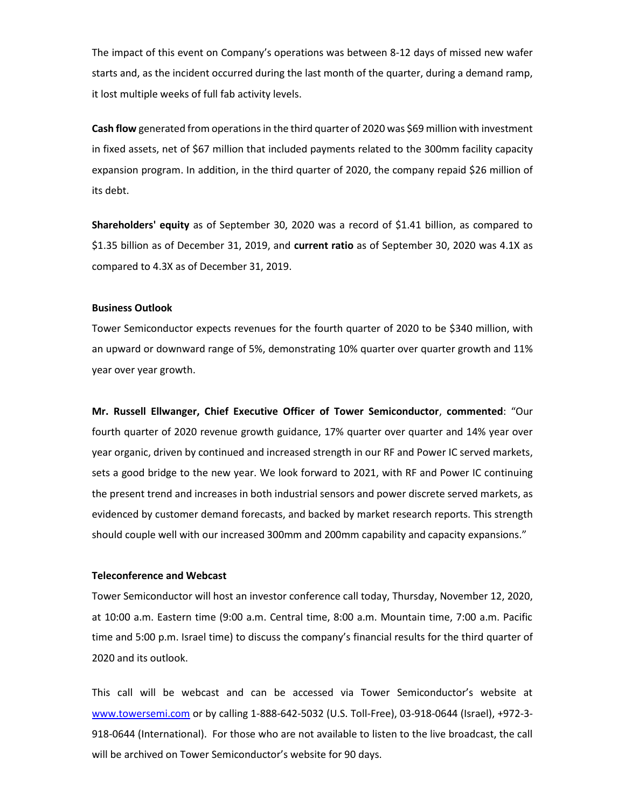The impact of this event on Company's operations was between 8-12 days of missed new wafer starts and, as the incident occurred during the last month of the quarter, during a demand ramp, it lost multiple weeks of full fab activity levels.

Cash flow generated from operations in the third quarter of 2020 was \$69 million with investment in fixed assets, net of \$67 million that included payments related to the 300mm facility capacity expansion program. In addition, in the third quarter of 2020, the company repaid \$26 million of its debt.

**Shareholders' equity** as of September 30, 2020 was a record of \$1.41 billion, as compared to \$1.35 billion as of December 31, 2019, and **current ratio** as of September 30, 2020 was 4.1X as compared to 4.3X as of December 31, 2019.

## **Business Outlook**

Tower Semiconductor expects revenues for the fourth quarter of 2020 to be \$340 million, with an upward or downward range of 5%, demonstrating 10% quarter over quarter growth and 11% year over year growth.

**Mr. Russell Ellwanger, Chief Executive Officer of Tower Semiconductor**, **commented**: "Our fourth quarter of 2020 revenue growth guidance, 17% quarter over quarter and 14% year over year organic, driven by continued and increased strength in our RF and Power IC served markets, sets a good bridge to the new year. We look forward to 2021, with RF and Power IC continuing the present trend and increases in both industrial sensors and power discrete served markets, as evidenced by customer demand forecasts, and backed by market research reports. This strength should couple well with our increased 300mm and 200mm capability and capacity expansions."

## **Teleconference and Webcast**

Tower Semiconductor will host an investor conference call today, Thursday, November 12, 2020, at 10:00 a.m. Eastern time (9:00 a.m. Central time, 8:00 a.m. Mountain time, 7:00 a.m. Pacific time and 5:00 p.m. Israel time) to discuss the company's financial results for the third quarter of 2020 and its outlook.

This call will be webcast and can be accessed via Tower Semiconductor's website at [www.towersemi.com](http://www.towersemi.com/) or by calling 1-888-642-5032 (U.S. Toll-Free), 03-918-0644 (Israel), +972-3- 918-0644 (International). For those who are not available to listen to the live broadcast, the call will be archived on Tower Semiconductor's website for 90 days.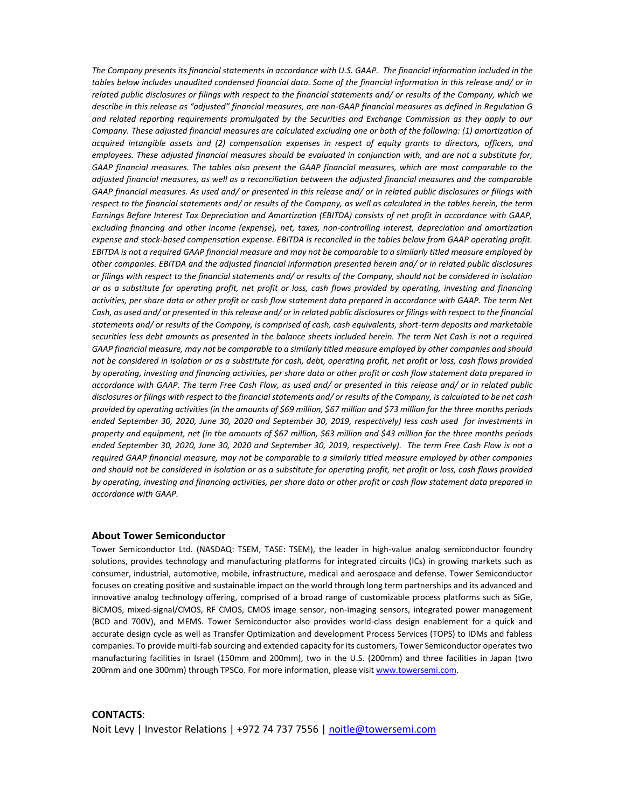*The Company presents its financial statements in accordance with U.S. GAAP. The financial information included in the tables below includes unaudited condensed financial data. Some of the financial information in this release and/ or in related public disclosures or filings with respect to the financial statements and/ or results of the Company, which we describe in this release as "adjusted" financial measures, are non-GAAP financial measures as defined in Regulation G and related reporting requirements promulgated by the Securities and Exchange Commission as they apply to our Company. These adjusted financial measures are calculated excluding one or both of the following: (1) amortization of acquired intangible assets and (2) compensation expenses in respect of equity grants to directors, officers, and employees. These adjusted financial measures should be evaluated in conjunction with, and are not a substitute for, GAAP financial measures. The tables also present the GAAP financial measures, which are most comparable to the adjusted financial measures, as well as a reconciliation between the adjusted financial measures and the comparable GAAP financial measures. As used and/ or presented in this release and/ or in related public disclosures or filings with respect to the financial statements and/ or results of the Company, as well as calculated in the tables herein, the term Earnings Before Interest Tax Depreciation and Amortization (EBITDA) consists of net profit in accordance with GAAP, excluding financing and other income (expense), net, taxes, non-controlling interest, depreciation and amortization expense and stock-based compensation expense. EBITDA is reconciled in the tables below from GAAP operating profit. EBITDA is not a required GAAP financial measure and may not be comparable to a similarly titled measure employed by other companies. EBITDA and the adjusted financial information presented herein and/ or in related public disclosures or filings with respect to the financial statements and/ or results of the Company, should not be considered in isolation or as a substitute for operating profit, net profit or loss, cash flows provided by operating, investing and financing activities, per share data or other profit or cash flow statement data prepared in accordance with GAAP. The term Net Cash, as used and/ or presented in this release and/ or in related public disclosures or filings with respect to the financial statements and/ or results of the Company, is comprised of cash, cash equivalents, short-term deposits and marketable*  securities less debt amounts as presented in the balance sheets included herein. The term Net Cash is not a required *GAAP financial measure, may not be comparable to a similarly titled measure employed by other companies and should not be considered in isolation or as a substitute for cash, debt, operating profit, net profit or loss, cash flows provided by operating, investing and financing activities, per share data or other profit or cash flow statement data prepared in accordance with GAAP. The term Free Cash Flow, as used and/ or presented in this release and/ or in related public disclosures or filings with respect to the financial statements and/ or results of the Company, is calculated to be net cash provided by operating activities (in the amounts of \$69 million, \$67 million and \$73 million for the three months periods ended September 30, 2020, June 30, 2020 and September 30, 2019, respectively) less cash used for investments in property and equipment, net (in the amounts of \$67 million, \$63 million and \$43 million for the three months periods ended September 30, 2020, June 30, 2020 and September 30, 2019, respectively). The term Free Cash Flow is not a required GAAP financial measure, may not be comparable to a similarly titled measure employed by other companies and should not be considered in isolation or as a substitute for operating profit, net profit or loss, cash flows provided by operating, investing and financing activities, per share data or other profit or cash flow statement data prepared in accordance with GAAP.*

### **About Tower Semiconductor**

Tower Semiconductor Ltd. (NASDAQ: TSEM, TASE: TSEM), the leader in high-value analog semiconductor foundry solutions, provides technology and manufacturing platforms for integrated circuits (ICs) in growing markets such as consumer, industrial, automotive, mobile, infrastructure, medical and aerospace and defense. Tower Semiconductor focuses on creating positive and sustainable impact on the world through long term partnerships and its advanced and innovative analog technology offering, comprised of a broad range of customizable process platforms such as SiGe, BiCMOS, mixed-signal/CMOS, RF CMOS, CMOS image sensor, non-imaging sensors, integrated power management (BCD and 700V), and MEMS. Tower Semiconductor also provides world-class design enablement for a quick and accurate design cycle as well as Transfer Optimization and development Process Services (TOPS) to IDMs and fabless companies. To provide multi-fab sourcing and extended capacity for its customers, Tower Semiconductor operates two manufacturing facilities in Israel (150mm and 200mm), two in the U.S. (200mm) and three facilities in Japan (two 200mm and one 300mm) through TPSCo. For more information, please visit [www.towersemi.com.](http://www.towersemi.com/)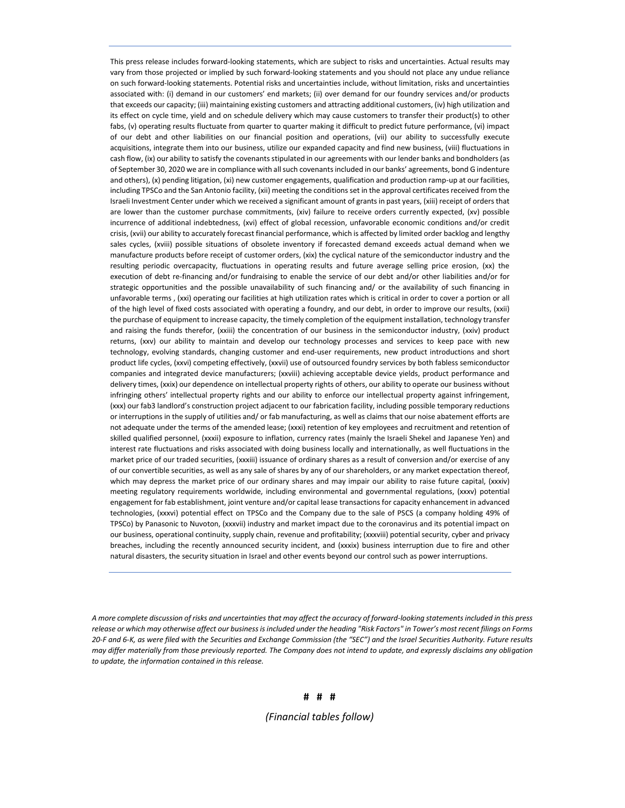This press release includes forward-looking statements, which are subject to risks and uncertainties. Actual results may vary from those projected or implied by such forward-looking statements and you should not place any undue reliance on such forward-looking statements. Potential risks and uncertainties include, without limitation, risks and uncertainties associated with: (i) demand in our customers' end markets; (ii) over demand for our foundry services and/or products that exceeds our capacity; (iii) maintaining existing customers and attracting additional customers, (iv) high utilization and its effect on cycle time, yield and on schedule delivery which may cause customers to transfer their product(s) to other fabs, (v) operating results fluctuate from quarter to quarter making it difficult to predict future performance, (vi) impact of our debt and other liabilities on our financial position and operations, (vii) our ability to successfully execute acquisitions, integrate them into our business, utilize our expanded capacity and find new business, (viii) fluctuations in cash flow, (ix) our ability to satisfy the covenants stipulated in our agreements with our lender banks and bondholders (as of September 30, 2020 we are in compliance with all such covenants included in our banks' agreements, bond G indenture and others), (x) pending litigation, (xi) new customer engagements, qualification and production ramp-up at our facilities, including TPSCo and the San Antonio facility, (xii) meeting the conditions set in the approval certificates received from the Israeli Investment Center under which we received a significant amount of grants in past years, (xiii) receipt of orders that are lower than the customer purchase commitments, (xiv) failure to receive orders currently expected, (xv) possible incurrence of additional indebtedness, (xvi) effect of global recession, unfavorable economic conditions and/or credit crisis, (xvii) our ability to accurately forecast financial performance, which is affected by limited order backlog and lengthy sales cycles, (xviii) possible situations of obsolete inventory if forecasted demand exceeds actual demand when we manufacture products before receipt of customer orders, (xix) the cyclical nature of the semiconductor industry and the resulting periodic overcapacity, fluctuations in operating results and future average selling price erosion, (xx) the execution of debt re-financing and/or fundraising to enable the service of our debt and/or other liabilities and/or for strategic opportunities and the possible unavailability of such financing and/ or the availability of such financing in unfavorable terms , (xxi) operating our facilities at high utilization rates which is critical in order to cover a portion or all of the high level of fixed costs associated with operating a foundry, and our debt, in order to improve our results, (xxii) the purchase of equipment to increase capacity, the timely completion of the equipment installation, technology transfer and raising the funds therefor, (xxiii) the concentration of our business in the semiconductor industry, (xxiv) product returns, (xxv) our ability to maintain and develop our technology processes and services to keep pace with new technology, evolving standards, changing customer and end-user requirements, new product introductions and short product life cycles, (xxvi) competing effectively, (xxvii) use of outsourced foundry services by both fabless semiconductor companies and integrated device manufacturers; (xxviii) achieving acceptable device yields, product performance and delivery times, (xxix) our dependence on intellectual property rights of others, our ability to operate our business without infringing others' intellectual property rights and our ability to enforce our intellectual property against infringement, (xxx) our fab3 landlord's construction project adjacent to our fabrication facility, including possible temporary reductions or interruptions in the supply of utilities and/ or fab manufacturing, as well as claims that our noise abatement efforts are not adequate under the terms of the amended lease; (xxxi) retention of key employees and recruitment and retention of skilled qualified personnel, (xxxii) exposure to inflation, currency rates (mainly the Israeli Shekel and Japanese Yen) and interest rate fluctuations and risks associated with doing business locally and internationally, as well fluctuations in the market price of our traded securities, (xxxiii) issuance of ordinary shares as a result of conversion and/or exercise of any of our convertible securities, as well as any sale of shares by any of our shareholders, or any market expectation thereof, which may depress the market price of our ordinary shares and may impair our ability to raise future capital, (xxxiv) meeting regulatory requirements worldwide, including environmental and governmental regulations, (xxxv) potential engagement for fab establishment, joint venture and/or capital lease transactions for capacity enhancement in advanced technologies, (xxxvi) potential effect on TPSCo and the Company due to the sale of PSCS (a company holding 49% of TPSCo) by Panasonic to Nuvoton, (xxxvii) industry and market impact due to the coronavirus and its potential impact on our business, operational continuity, supply chain, revenue and profitability; (xxxviii) potential security, cyber and privacy breaches, including the recently announced security incident, and (xxxix) business interruption due to fire and other natural disasters, the security situation in Israel and other events beyond our control such as power interruptions.

*A more complete discussion of risks and uncertainties that may affect the accuracy of forward-looking statements included in this press release or which may otherwise affect our business is included under the heading "Risk Factors" in Tower's most recent filings on Forms 20-F and 6-K, as were filed with the Securities and Exchange Commission (the "SEC") and the Israel Securities Authority. Future results may differ materially from those previously reported. The Company does not intend to update, and expressly disclaims any obligation to update, the information contained in this release.*

#### **# # #**

*(Financial tables follow)*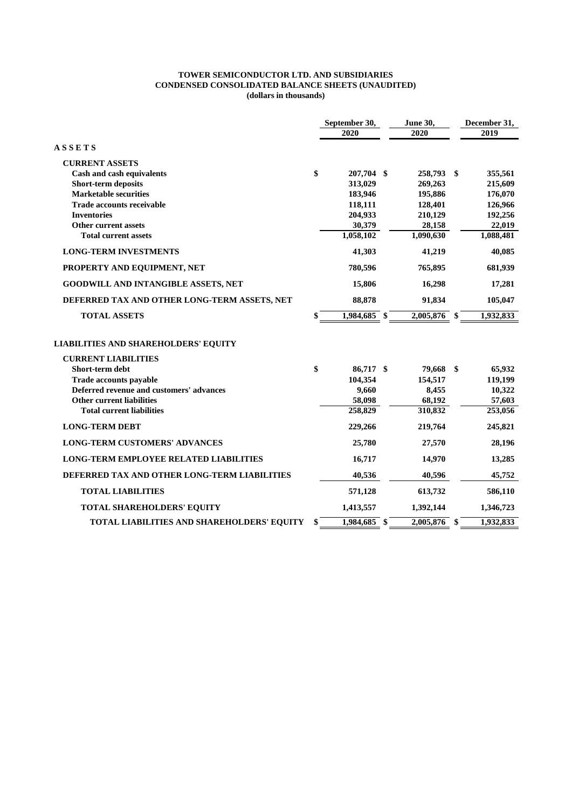## **TOWER SEMICONDUCTOR LTD. AND SUBSIDIARIES CONDENSED CONSOLIDATED BALANCE SHEETS (UNAUDITED) (dollars in thousands)**

|                                               | September 30,<br>2020 | <b>June 30,</b><br>2020 |     | December 31,<br>2019 |
|-----------------------------------------------|-----------------------|-------------------------|-----|----------------------|
| <b>ASSETS</b>                                 |                       |                         |     |                      |
| <b>CURRENT ASSETS</b>                         |                       |                         |     |                      |
| Cash and cash equivalents                     | \$<br>207,704 \$      | 258,793                 | -S  | 355,561              |
| Short-term deposits                           | 313,029               | 269,263                 |     | 215,609              |
| <b>Marketable securities</b>                  | 183,946               | 195,886                 |     | 176,070              |
| <b>Trade accounts receivable</b>              | 118,111               | 128,401                 |     | 126,966              |
| <b>Inventories</b>                            | 204,933               | 210,129                 |     | 192,256              |
| <b>Other current assets</b>                   | 30,379                | 28,158                  |     | 22,019               |
| <b>Total current assets</b>                   | 1,058,102             | 1,090,630               |     | 1,088,481            |
| <b>LONG-TERM INVESTMENTS</b>                  | 41,303                | 41,219                  |     | 40,085               |
| PROPERTY AND EQUIPMENT, NET                   | 780,596               | 765,895                 |     | 681,939              |
| <b>GOODWILL AND INTANGIBLE ASSETS, NET</b>    | 15,806                | 16,298                  |     | 17,281               |
| DEFERRED TAX AND OTHER LONG-TERM ASSETS, NET  | 88,878                | 91,834                  |     | 105,047              |
| <b>TOTAL ASSETS</b>                           | \$<br>$1,984,685$ \$  | 2,005,876               | -S  | 1,932,833            |
| <b>LIABILITIES AND SHAREHOLDERS' EQUITY</b>   |                       |                         |     |                      |
| <b>CURRENT LIABILITIES</b>                    |                       |                         |     |                      |
| <b>Short-term debt</b>                        | \$<br>86,717 \$       | 79,668 \$               |     | 65,932               |
| <b>Trade accounts payable</b>                 | 104,354               | 154,517                 |     | 119,199              |
| Deferred revenue and customers' advances      | 9,660                 | 8,455                   |     | 10,322               |
| <b>Other current liabilities</b>              | 58,098                | 68,192                  |     | 57,603               |
| <b>Total current liabilities</b>              | 258,829               | 310,832                 |     | 253,056              |
| <b>LONG-TERM DEBT</b>                         | 229,266               | 219,764                 |     | 245,821              |
| <b>LONG-TERM CUSTOMERS' ADVANCES</b>          | 25,780                | 27,570                  |     | 28,196               |
| <b>LONG-TERM EMPLOYEE RELATED LIABILITIES</b> | 16,717                | 14,970                  |     | 13,285               |
| DEFERRED TAX AND OTHER LONG-TERM LIABILITIES  | 40,536                | 40,596                  |     | 45,752               |
| <b>TOTAL LIABILITIES</b>                      | 571,128               | 613,732                 |     | 586,110              |
| <b>TOTAL SHAREHOLDERS' EQUITY</b>             | 1,413,557             | 1,392,144               |     | 1,346,723            |
| TOTAL LIABILITIES AND SHAREHOLDERS' EQUITY    | \$<br>1,984,685 \$    | 2,005,876               | -\$ | 1,932,833            |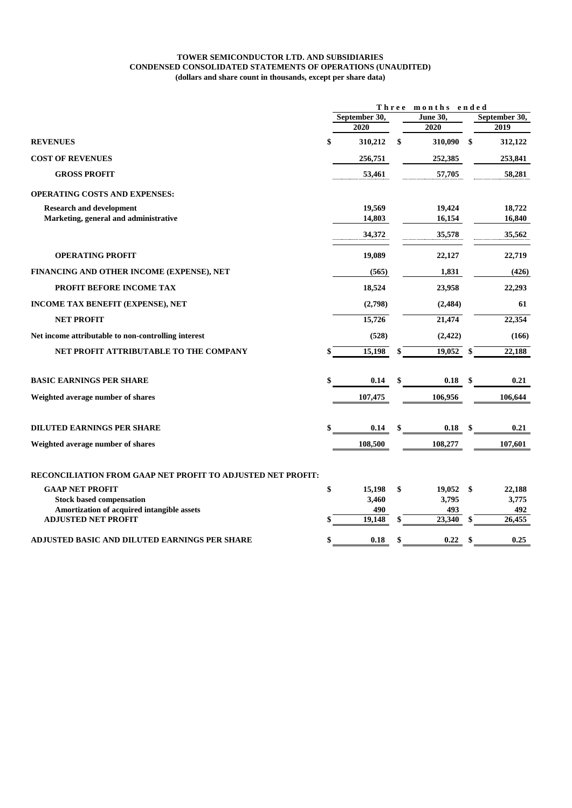## **TOWER SEMICONDUCTOR LTD. AND SUBSIDIARIES CONDENSED CONSOLIDATED STATEMENTS OF OPERATIONS (UNAUDITED) (dollars and share count in thousands, except per share data)**

|                                                                    | Three months ended |               |    |          |      |               |  |
|--------------------------------------------------------------------|--------------------|---------------|----|----------|------|---------------|--|
|                                                                    |                    | September 30, |    | June 30. |      | September 30, |  |
|                                                                    |                    | 2020          |    | 2020     |      | 2019          |  |
| <b>REVENUES</b>                                                    | \$                 | 310,212       | \$ | 310,090  | \$   | 312,122       |  |
| <b>COST OF REVENUES</b>                                            |                    | 256,751       |    | 252,385  |      | 253,841       |  |
| <b>GROSS PROFIT</b>                                                |                    | 53,461        |    | 57,705   |      | 58,281        |  |
| <b>OPERATING COSTS AND EXPENSES:</b>                               |                    |               |    |          |      |               |  |
| <b>Research and development</b>                                    |                    | 19,569        |    | 19,424   |      | 18,722        |  |
| Marketing, general and administrative                              |                    | 14,803        |    | 16,154   |      | 16,840        |  |
|                                                                    |                    | 34,372        |    | 35,578   |      | 35,562        |  |
| <b>OPERATING PROFIT</b>                                            |                    | 19,089        |    | 22,127   |      | 22,719        |  |
| FINANCING AND OTHER INCOME (EXPENSE), NET                          |                    | (565)         |    | 1,831    |      | (426)         |  |
| PROFIT BEFORE INCOME TAX                                           |                    | 18,524        |    | 23,958   |      | 22,293        |  |
| <b>INCOME TAX BENEFIT (EXPENSE), NET</b>                           |                    | (2,798)       |    | (2, 484) |      | 61            |  |
| <b>NET PROFIT</b>                                                  |                    | 15,726        |    | 21,474   |      | 22,354        |  |
| Net income attributable to non-controlling interest                |                    | (528)         |    | (2,422)  |      | (166)         |  |
| NET PROFIT ATTRIBUTABLE TO THE COMPANY                             | \$                 | 15,198        | \$ | 19,052   | \$   | 22,188        |  |
| <b>BASIC EARNINGS PER SHARE</b>                                    | \$                 | 0.14          | \$ | 0.18     | \$   | 0.21          |  |
| Weighted average number of shares                                  |                    | 107,475       |    | 106,956  |      | 106,644       |  |
| <b>DILUTED EARNINGS PER SHARE</b>                                  | \$                 | 0.14          | \$ | 0.18     | \$   | 0.21          |  |
| Weighted average number of shares                                  |                    | 108,500       |    | 108,277  |      | 107,601       |  |
| <b>RECONCILIATION FROM GAAP NET PROFIT TO ADJUSTED NET PROFIT:</b> |                    |               |    |          |      |               |  |
| <b>GAAP NET PROFIT</b>                                             | \$                 | 15,198        | \$ | 19,052   | - \$ | 22,188        |  |
| <b>Stock based compensation</b>                                    |                    | 3,460         |    | 3,795    |      | 3,775         |  |
| Amortization of acquired intangible assets                         |                    | 490           |    | 493      |      | 492           |  |
| <b>ADJUSTED NET PROFIT</b>                                         | \$                 | 19,148        | \$ | 23,340   | \$   | 26,455        |  |
| ADJUSTED BASIC AND DILUTED EARNINGS PER SHARE                      | \$                 | 0.18          | \$ | 0.22     | \$   | 0.25          |  |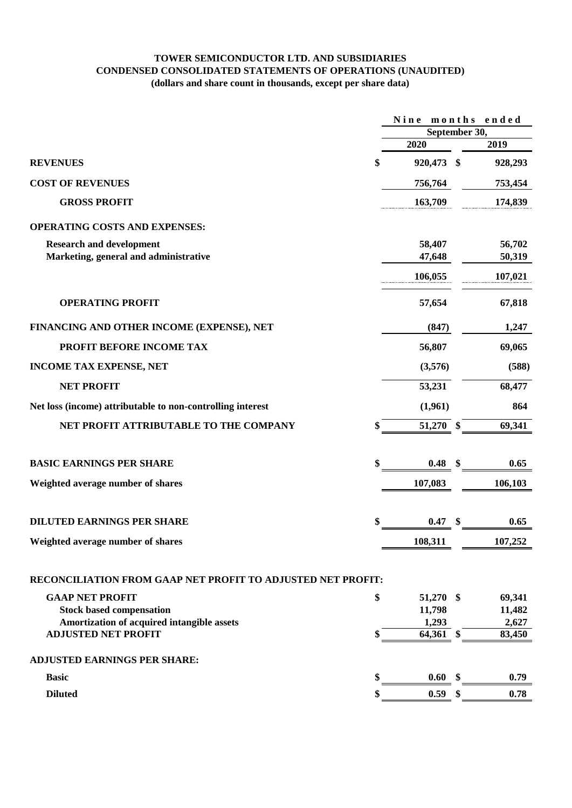# **TOWER SEMICONDUCTOR LTD. AND SUBSIDIARIES CONDENSED CONSOLIDATED STATEMENTS OF OPERATIONS (UNAUDITED) (dollars and share count in thousands, except per share data)**

|                                                             | Nine months<br>ended |     |         |
|-------------------------------------------------------------|----------------------|-----|---------|
|                                                             | September 30,        |     |         |
|                                                             | 2020                 |     | 2019    |
| <b>REVENUES</b>                                             | \$<br>920,473 \$     |     | 928,293 |
| <b>COST OF REVENUES</b>                                     | 756,764              |     | 753,454 |
| <b>GROSS PROFIT</b>                                         | 163,709              |     | 174,839 |
| <b>OPERATING COSTS AND EXPENSES:</b>                        |                      |     |         |
| <b>Research and development</b>                             | 58,407               |     | 56,702  |
| Marketing, general and administrative                       | 47,648               |     | 50,319  |
|                                                             | 106,055              |     | 107,021 |
| <b>OPERATING PROFIT</b>                                     | 57,654               |     | 67,818  |
| FINANCING AND OTHER INCOME (EXPENSE), NET                   | (847)                |     | 1,247   |
| PROFIT BEFORE INCOME TAX                                    | 56,807               |     | 69,065  |
| <b>INCOME TAX EXPENSE, NET</b>                              | (3,576)              |     | (588)   |
| <b>NET PROFIT</b>                                           | 53,231               |     | 68,477  |
| Net loss (income) attributable to non-controlling interest  | (1,961)              |     | 864     |
| NET PROFIT ATTRIBUTABLE TO THE COMPANY                      | \$<br>51,270 \$      |     | 69,341  |
| <b>BASIC EARNINGS PER SHARE</b>                             | \$<br>0.48           | -\$ | 0.65    |
| Weighted average number of shares                           | 107,083              |     | 106,103 |
| <b>DILUTED EARNINGS PER SHARE</b>                           | \$<br>0.47           | \$  | 0.65    |
| Weighted average number of shares                           | 108,311              |     | 107,252 |
| RECONCILIATION FROM GAAP NET PROFIT TO ADJUSTED NET PROFIT: |                      |     |         |
| <b>GAAP NET PROFIT</b>                                      | \$<br>51,270 \$      |     | 69,341  |
| <b>Stock based compensation</b>                             | 11,798               |     | 11,482  |
| Amortization of acquired intangible assets                  | 1,293                |     | 2,627   |
| <b>ADJUSTED NET PROFIT</b>                                  | 64,361 \$            |     | 83,450  |
| <b>ADJUSTED EARNINGS PER SHARE:</b>                         |                      |     |         |
| <b>Basic</b>                                                | \$<br>0.60           | -SS | 0.79    |
| <b>Diluted</b>                                              | 0.59                 | \$  | 0.78    |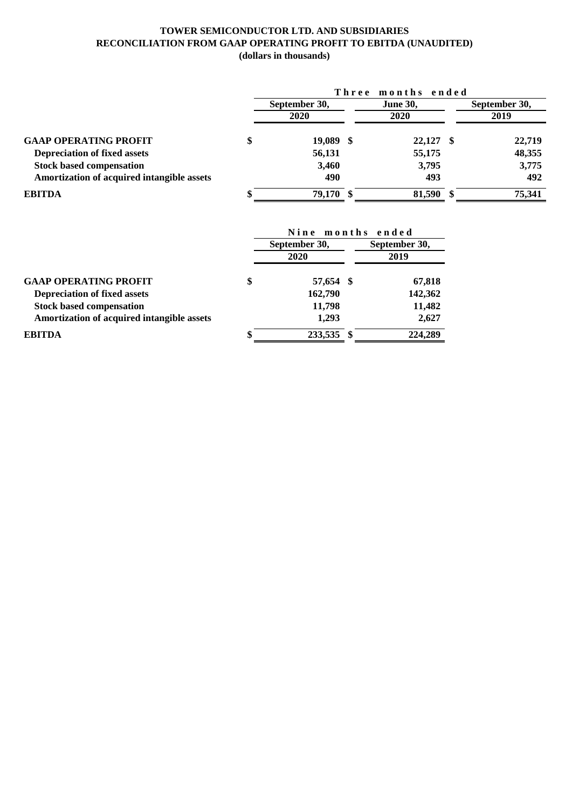# **TOWER SEMICONDUCTOR LTD. AND SUBSIDIARIES RECONCILIATION FROM GAAP OPERATING PROFIT TO EBITDA (UNAUDITED) (dollars in thousands)**

|                                            |    | Three months ended |  |                 |  |               |  |  |  |
|--------------------------------------------|----|--------------------|--|-----------------|--|---------------|--|--|--|
|                                            |    | September 30,      |  | <b>June 30,</b> |  | September 30, |  |  |  |
|                                            |    | 2020               |  | 2020            |  | 2019          |  |  |  |
| <b>GAAP OPERATING PROFIT</b>               | \$ | $19,089$ \$        |  | $22,127$ \$     |  | 22,719        |  |  |  |
| <b>Depreciation of fixed assets</b>        |    | 56,131             |  | 55,175          |  | 48,355        |  |  |  |
| <b>Stock based compensation</b>            |    | 3,460              |  | 3,795           |  | 3,775         |  |  |  |
| Amortization of acquired intangible assets |    | 490                |  | 493             |  | 492           |  |  |  |
| <b>EBITDA</b>                              | S  | 79,170 \$          |  | 81,590          |  | 75,341        |  |  |  |

|                                            |    | Nine months ended |  |               |  |  |  |  |
|--------------------------------------------|----|-------------------|--|---------------|--|--|--|--|
|                                            |    | September 30,     |  | September 30, |  |  |  |  |
|                                            |    | 2020              |  | 2019          |  |  |  |  |
| <b>GAAP OPERATING PROFIT</b>               | \$ | 57,654 \$         |  | 67,818        |  |  |  |  |
| <b>Depreciation of fixed assets</b>        |    | 162,790           |  | 142,362       |  |  |  |  |
| <b>Stock based compensation</b>            |    | 11,798            |  | 11,482        |  |  |  |  |
| Amortization of acquired intangible assets |    | 1,293             |  | 2,627         |  |  |  |  |
| <b>EBITDA</b>                              | \$ | 233,535           |  | 224,289       |  |  |  |  |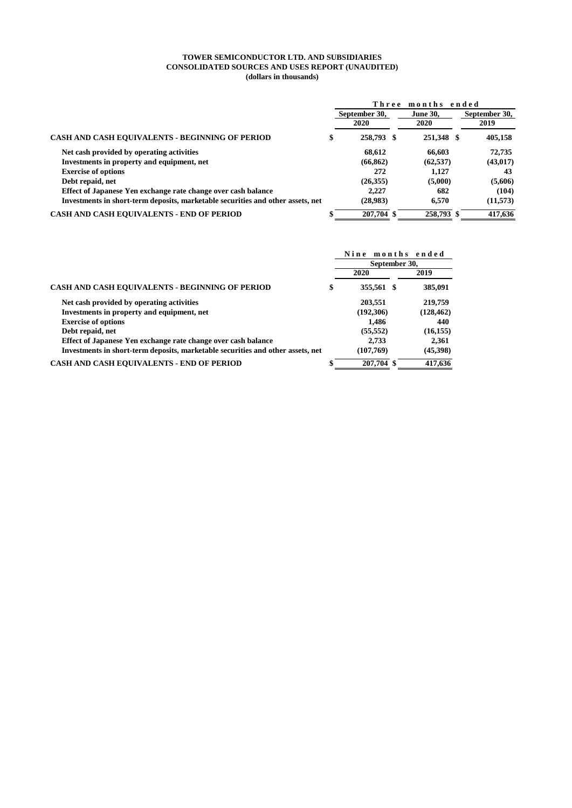## **(dollars in thousands) CONSOLIDATED SOURCES AND USES REPORT (UNAUDITED) TOWER SEMICONDUCTOR LTD. AND SUBSIDIARIES**

|                                                                                 | Three            | months ended    |  |               |  |
|---------------------------------------------------------------------------------|------------------|-----------------|--|---------------|--|
|                                                                                 | September 30,    | <b>June 30.</b> |  | September 30, |  |
|                                                                                 | 2020             | 2020            |  | 2019          |  |
| CASH AND CASH EQUIVALENTS - BEGINNING OF PERIOD                                 | \$<br>258,793 \$ | 251,348 \$      |  | 405,158       |  |
| Net cash provided by operating activities                                       | 68.612           | 66,603          |  | 72,735        |  |
| Investments in property and equipment, net                                      | (66, 862)        | (62, 537)       |  | (43, 017)     |  |
| <b>Exercise of options</b>                                                      | 272              | 1.127           |  | 43            |  |
| Debt repaid, net                                                                | (26,355)         | (5,000)         |  | (5,606)       |  |
| Effect of Japanese Yen exchange rate change over cash balance                   | 2,227            | 682             |  | (104)         |  |
| Investments in short-term deposits, marketable securities and other assets, net | (28,983)         | 6.570           |  | (11, 573)     |  |
| <b>CASH AND CASH EQUIVALENTS - END OF PERIOD</b>                                | 207,704 \$       | 258,793 \$      |  | 417.636       |  |

|                                                                                 | Nine months ended |  |            |
|---------------------------------------------------------------------------------|-------------------|--|------------|
|                                                                                 | September 30,     |  |            |
|                                                                                 | 2020              |  | 2019       |
| CASH AND CASH EQUIVALENTS - BEGINNING OF PERIOD                                 | \$<br>355,561 \$  |  | 385,091    |
| Net cash provided by operating activities                                       | 203,551           |  | 219,759    |
| Investments in property and equipment, net                                      | (192,306)         |  | (128, 462) |
| <b>Exercise of options</b>                                                      | 1.486             |  | 440        |
| Debt repaid, net                                                                | (55, 552)         |  | (16, 155)  |
| Effect of Japanese Yen exchange rate change over cash balance                   | 2.733             |  | 2.361      |
| Investments in short-term deposits, marketable securities and other assets, net | (107,769)         |  | (45,398)   |
| CASH AND CASH EQUIVALENTS - END OF PERIOD                                       | \$<br>207,704 \$  |  | 417.636    |